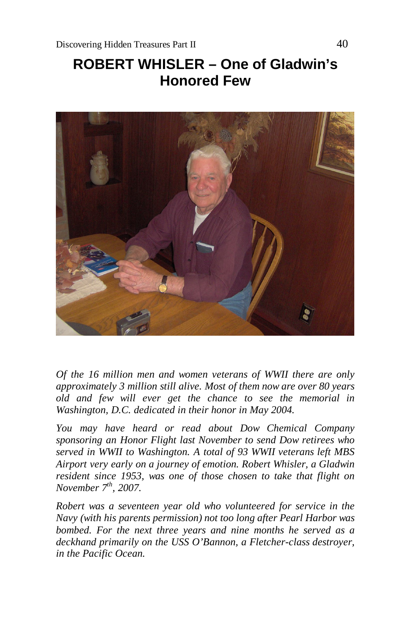# **ROBERT WHISLER – One of Gladwin's Honored Few**



*Of the 16 million men and women veterans of WWII there are only approximately 3 million still alive. Most of them now are over 80 years old and few will ever get the chance to see the memorial in Washington, D.C. dedicated in their honor in May 2004.*

*You may have heard or read about Dow Chemical Company sponsoring an Honor Flight last November to send Dow retirees who served in WWII to Washington. A total of 93 WWII veterans left MBS Airport very early on a journey of emotion. Robert Whisler, a Gladwin resident since 1953, was one of those chosen to take that flight on November 7th, 2007.*

*Robert was a seventeen year old who volunteered for service in the Navy (with his parents permission) not too long after Pearl Harbor was bombed. For the next three years and nine months he served as a deckhand primarily on the USS O'Bannon, a Fletcher-class destroyer, in the Pacific Ocean.*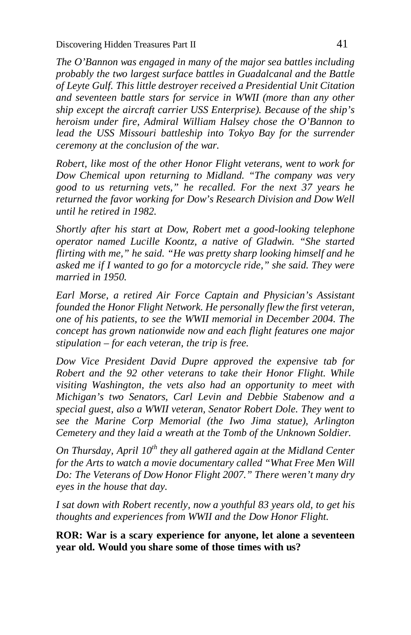Discovering Hidden Treasures Part II 41

*The O'Bannon was engaged in many of the major sea battles including probably the two largest surface battles in Guadalcanal and the Battle of Leyte Gulf. This little destroyer received a Presidential Unit Citation and seventeen battle stars for service in WWII (more than any other ship except the aircraft carrier USS Enterprise). Because of the ship's heroism under fire, Admiral William Halsey chose the O'Bannon to*  lead the USS Missouri battleship into Tokyo Bay for the surrender *ceremony at the conclusion of the war.*

*Robert, like most of the other Honor Flight veterans, went to work for Dow Chemical upon returning to Midland. "The company was very good to us returning vets," he recalled. For the next 37 years he returned the favor working for Dow's Research Division and Dow Well until he retired in 1982.*

*Shortly after his start at Dow, Robert met a good-looking telephone operator named Lucille Koontz, a native of Gladwin. "She started flirting with me," he said. "He was pretty sharp looking himself and he asked me if I wanted to go for a motorcycle ride," she said. They were married in 1950.*

*Earl Morse, a retired Air Force Captain and Physician's Assistant founded the Honor Flight Network. He personally flew the first veteran, one of his patients, to see the WWII memorial in December 2004. The concept has grown nationwide now and each flight features one major stipulation – for each veteran, the trip is free.*

*Dow Vice President David Dupre approved the expensive tab for Robert and the 92 other veterans to take their Honor Flight. While visiting Washington, the vets also had an opportunity to meet with Michigan's two Senators, Carl Levin and Debbie Stabenow and a special guest, also a WWII veteran, Senator Robert Dole. They went to see the Marine Corp Memorial (the Iwo Jima statue), Arlington Cemetery and they laid a wreath at the Tomb of the Unknown Soldier.*

*On Thursday, April 10th they all gathered again at the Midland Center for the Arts to watch a movie documentary called "What Free Men Will Do: The Veterans of Dow Honor Flight 2007." There weren't many dry eyes in the house that day.*

*I sat down with Robert recently, now a youthful 83 years old, to get his thoughts and experiences from WWII and the Dow Honor Flight.*

**ROR: War is a scary experience for anyone, let alone a seventeen year old. Would you share some of those times with us?**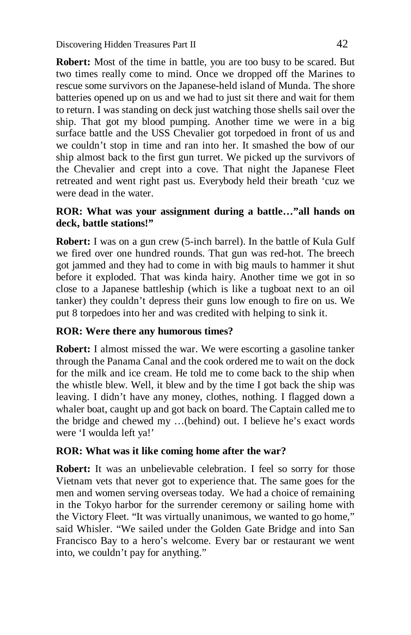**Robert:** Most of the time in battle, you are too busy to be scared. But two times really come to mind. Once we dropped off the Marines to rescue some survivors on the Japanese-held island of Munda. The shore batteries opened up on us and we had to just sit there and wait for them to return. I was standing on deck just watching those shells sail over the ship. That got my blood pumping. Another time we were in a big surface battle and the USS Chevalier got torpedoed in front of us and we couldn't stop in time and ran into her. It smashed the bow of our ship almost back to the first gun turret. We picked up the survivors of the Chevalier and crept into a cove. That night the Japanese Fleet retreated and went right past us. Everybody held their breath 'cuz we were dead in the water.

## **ROR: What was your assignment during a battle…"all hands on deck, battle stations!"**

**Robert:** I was on a gun crew (5-inch barrel). In the battle of Kula Gulf we fired over one hundred rounds. That gun was red-hot. The breech got jammed and they had to come in with big mauls to hammer it shut before it exploded. That was kinda hairy. Another time we got in so close to a Japanese battleship (which is like a tugboat next to an oil tanker) they couldn't depress their guns low enough to fire on us. We put 8 torpedoes into her and was credited with helping to sink it.

## **ROR: Were there any humorous times?**

**Robert:** I almost missed the war. We were escorting a gasoline tanker through the Panama Canal and the cook ordered me to wait on the dock for the milk and ice cream. He told me to come back to the ship when the whistle blew. Well, it blew and by the time I got back the ship was leaving. I didn't have any money, clothes, nothing. I flagged down a whaler boat, caught up and got back on board. The Captain called me to the bridge and chewed my …(behind) out. I believe he's exact words were 'I woulda left ya!'

## **ROR: What was it like coming home after the war?**

**Robert:** It was an unbelievable celebration. I feel so sorry for those Vietnam vets that never got to experience that. The same goes for the men and women serving overseas today. We had a choice of remaining in the Tokyo harbor for the surrender ceremony or sailing home with the Victory Fleet. "It was virtually unanimous, we wanted to go home," said Whisler. "We sailed under the Golden Gate Bridge and into San Francisco Bay to a hero's welcome. Every bar or restaurant we went into, we couldn't pay for anything."